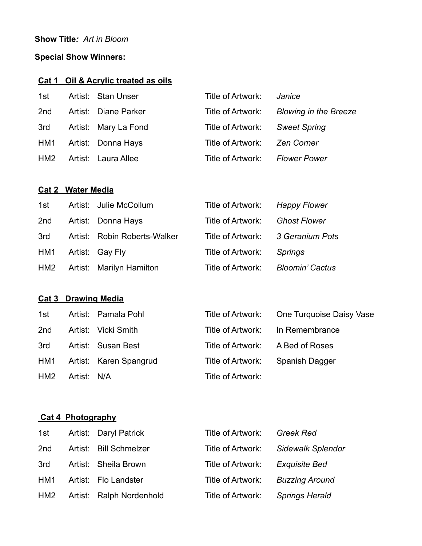## **Show Title***: Art in Bloom*

# **Special Show Winners:**

## **Cat 1 Oil & Acrylic treated as oils**

| 1st | Artist: Stan Unser   | Title of Artwork: | Janice                       |
|-----|----------------------|-------------------|------------------------------|
| 2nd | Artist: Diane Parker | Title of Artwork: | <b>Blowing in the Breeze</b> |
| 3rd | Artist: Mary La Fond | Title of Artwork: | <b>Sweet Spring</b>          |
| HM1 | Artist: Donna Hays   | Title of Artwork: | <b>Zen Corner</b>            |
| HM2 | Artist: Laura Allee  | Title of Artwork: | <b>Flower Power</b>          |

### **Cat 2 Water Media**

| 1st | Artist: Julie McCollum       | Title of Artwork: | <b>Happy Flower</b>    |
|-----|------------------------------|-------------------|------------------------|
| 2nd | Artist: Donna Hays           | Title of Artwork: | <b>Ghost Flower</b>    |
| 3rd | Artist: Robin Roberts-Walker | Title of Artwork: | 3 Geranium Pots        |
| HM1 | Artist: Gay Fly              | Title of Artwork: | <b>Springs</b>         |
| HM2 | Artist: Marilyn Hamilton     | Title of Artwork: | <b>Bloomin' Cactus</b> |

## **Cat 3 Drawing Media**

| 1st |             | Artist: Pamala Pohl        |                                  | Title of Artwork: One Turquoise Daisy Vase |
|-----|-------------|----------------------------|----------------------------------|--------------------------------------------|
| 2nd |             | Artist: Vicki Smith        | Title of Artwork: In Remembrance |                                            |
| 3rd |             | Artist: Susan Best         | Title of Artwork: A Bed of Roses |                                            |
|     |             | HM1 Artist: Karen Spangrud | Title of Artwork:                | Spanish Dagger                             |
| HM2 | Artist: N/A |                            | Title of Artwork:                |                                            |

#### **Cat 4 Photography**

| 1st | Artist: Daryl Patrick    | Title of Artwork: | Greek Red                |
|-----|--------------------------|-------------------|--------------------------|
| 2nd | Artist: Bill Schmelzer   | Title of Artwork: | <b>Sidewalk Splendor</b> |
| 3rd | Artist: Sheila Brown     | Title of Artwork: | Exquisite Bed            |
| HM1 | Artist: Flo Landster     | Title of Artwork: | <b>Buzzing Around</b>    |
| HM2 | Artist: Ralph Nordenhold | Title of Artwork: | <b>Springs Herald</b>    |